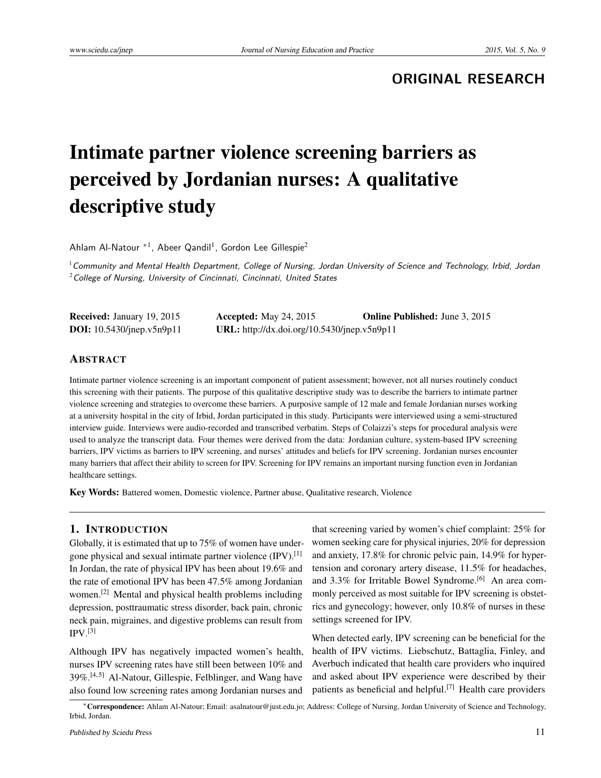**ORIGINAL RESEARCH**

# Intimate partner violence screening barriers as perceived by Jordanian nurses: A qualitative descriptive study

Ahlam Al-Natour  $*1$ , Abeer Qandil<sup>1</sup>, Gordon Lee Gillespie<sup>2</sup>

 $1$ Community and Mental Health Department, College of Nursing, Jordan University of Science and Technology, Irbid, Jordan  $2$  College of Nursing, University of Cincinnati, Cincinnati, United States

| <b>Received: January 19, 2015</b>  | <b>Accepted:</b> May 24, 2015               | <b>Online Published:</b> June 3, 2015 |
|------------------------------------|---------------------------------------------|---------------------------------------|
| <b>DOI:</b> $10.5430/jnep.v5n9p11$ | URL: http://dx.doi.org/10.5430/jnep.v5n9p11 |                                       |

## ABSTRACT

Intimate partner violence screening is an important component of patient assessment; however, not all nurses routinely conduct this screening with their patients. The purpose of this qualitative descriptive study was to describe the barriers to intimate partner violence screening and strategies to overcome these barriers. A purposive sample of 12 male and female Jordanian nurses working at a university hospital in the city of Irbid, Jordan participated in this study. Participants were interviewed using a semi-structured interview guide. Interviews were audio-recorded and transcribed verbatim. Steps of Colaizzi's steps for procedural analysis were used to analyze the transcript data. Four themes were derived from the data: Jordanian culture, system-based IPV screening barriers, IPV victims as barriers to IPV screening, and nurses' attitudes and beliefs for IPV screening. Jordanian nurses encounter many barriers that affect their ability to screen for IPV. Screening for IPV remains an important nursing function even in Jordanian healthcare settings.

Key Words: Battered women, Domestic violence, Partner abuse, Qualitative research, Violence

## 1. INTRODUCTION

Globally, it is estimated that up to 75% of women have under-gone physical and sexual intimate partner violence (IPV).<sup>[\[1\]](#page-5-0)</sup> In Jordan, the rate of physical IPV has been about 19.6% and the rate of emotional IPV has been 47.5% among Jordanian women.[\[2\]](#page-5-1) Mental and physical health problems including depression, posttraumatic stress disorder, back pain, chronic neck pain, migraines, and digestive problems can result from  $IPV.<sup>[3]</sup>$  $IPV.<sup>[3]</sup>$  $IPV.<sup>[3]</sup>$ 

Although IPV has negatively impacted women's health, nurses IPV screening rates have still been between 10% and 39%.[\[4,](#page-5-3) [5\]](#page-5-4) Al-Natour, Gillespie, Felblinger, and Wang have also found low screening rates among Jordanian nurses and

that screening varied by women's chief complaint: 25% for women seeking care for physical injuries, 20% for depression and anxiety, 17.8% for chronic pelvic pain, 14.9% for hypertension and coronary artery disease, 11.5% for headaches, and 3.3% for Irritable Bowel Syndrome.[\[6\]](#page-5-5) An area commonly perceived as most suitable for IPV screening is obstetrics and gynecology; however, only 10.8% of nurses in these settings screened for IPV.

When detected early, IPV screening can be beneficial for the health of IPV victims. Liebschutz, Battaglia, Finley, and Averbuch indicated that health care providers who inquired and asked about IPV experience were described by their patients as beneficial and helpful.[\[7\]](#page-5-6) Health care providers

<sup>∗</sup>Correspondence: Ahlam Al-Natour; Email: asalnatour@just.edu.jo; Address: College of Nursing, Jordan University of Science and Technology, Irbid, Jordan.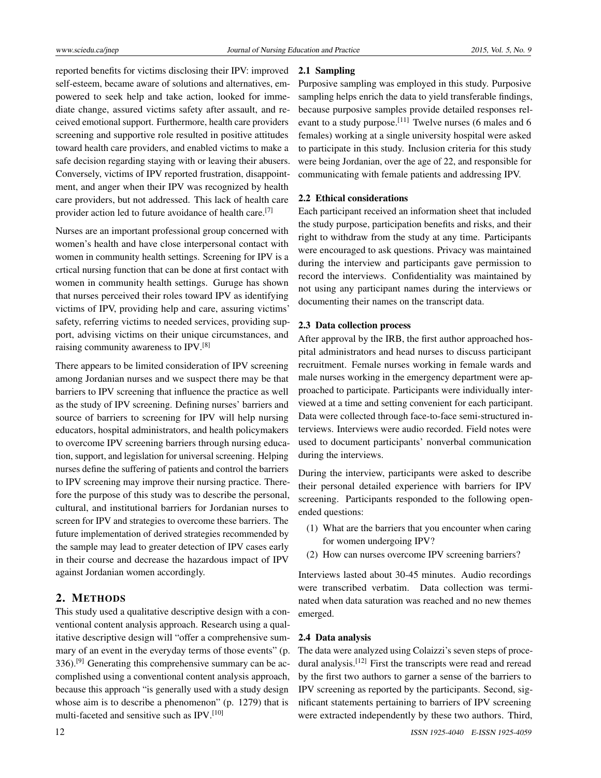reported benefits for victims disclosing their IPV: improved self-esteem, became aware of solutions and alternatives, empowered to seek help and take action, looked for immediate change, assured victims safety after assault, and received emotional support. Furthermore, health care providers screening and supportive role resulted in positive attitudes toward health care providers, and enabled victims to make a safe decision regarding staying with or leaving their abusers. Conversely, victims of IPV reported frustration, disappointment, and anger when their IPV was recognized by health care providers, but not addressed. This lack of health care provider action led to future avoidance of health care.[\[7\]](#page-5-6)

Nurses are an important professional group concerned with women's health and have close interpersonal contact with women in community health settings. Screening for IPV is a crtical nursing function that can be done at first contact with women in community health settings. Guruge has shown that nurses perceived their roles toward IPV as identifying victims of IPV, providing help and care, assuring victims' safety, referring victims to needed services, providing support, advising victims on their unique circumstances, and raising community awareness to IPV.[\[8\]](#page-5-7)

There appears to be limited consideration of IPV screening among Jordanian nurses and we suspect there may be that barriers to IPV screening that influence the practice as well as the study of IPV screening. Defining nurses' barriers and source of barriers to screening for IPV will help nursing educators, hospital administrators, and health policymakers to overcome IPV screening barriers through nursing education, support, and legislation for universal screening. Helping nurses define the suffering of patients and control the barriers to IPV screening may improve their nursing practice. Therefore the purpose of this study was to describe the personal, cultural, and institutional barriers for Jordanian nurses to screen for IPV and strategies to overcome these barriers. The future implementation of derived strategies recommended by the sample may lead to greater detection of IPV cases early in their course and decrease the hazardous impact of IPV against Jordanian women accordingly.

# 2. METHODS

This study used a qualitative descriptive design with a conventional content analysis approach. Research using a qualitative descriptive design will "offer a comprehensive summary of an event in the everyday terms of those events" (p.  $336$ .<sup>[\[9\]](#page-5-8)</sup> Generating this comprehensive summary can be accomplished using a conventional content analysis approach, because this approach "is generally used with a study design whose aim is to describe a phenomenon" (p. 1279) that is multi-faceted and sensitive such as IPV.[\[10\]](#page-5-9)

## 2.1 Sampling

Purposive sampling was employed in this study. Purposive sampling helps enrich the data to yield transferable findings, because purposive samples provide detailed responses rel-evant to a study purpose.<sup>[\[11\]](#page-5-10)</sup> Twelve nurses (6 males and 6) females) working at a single university hospital were asked to participate in this study. Inclusion criteria for this study were being Jordanian, over the age of 22, and responsible for communicating with female patients and addressing IPV.

### 2.2 Ethical considerations

Each participant received an information sheet that included the study purpose, participation benefits and risks, and their right to withdraw from the study at any time. Participants were encouraged to ask questions. Privacy was maintained during the interview and participants gave permission to record the interviews. Confidentiality was maintained by not using any participant names during the interviews or documenting their names on the transcript data.

### 2.3 Data collection process

After approval by the IRB, the first author approached hospital administrators and head nurses to discuss participant recruitment. Female nurses working in female wards and male nurses working in the emergency department were approached to participate. Participants were individually interviewed at a time and setting convenient for each participant. Data were collected through face-to-face semi-structured interviews. Interviews were audio recorded. Field notes were used to document participants' nonverbal communication during the interviews.

During the interview, participants were asked to describe their personal detailed experience with barriers for IPV screening. Participants responded to the following openended questions:

- (1) What are the barriers that you encounter when caring for women undergoing IPV?
- (2) How can nurses overcome IPV screening barriers?

Interviews lasted about 30-45 minutes. Audio recordings were transcribed verbatim. Data collection was terminated when data saturation was reached and no new themes emerged.

#### 2.4 Data analysis

The data were analyzed using Colaizzi's seven steps of proce-dural analysis.<sup>[\[12\]](#page-5-11)</sup> First the transcripts were read and reread by the first two authors to garner a sense of the barriers to IPV screening as reported by the participants. Second, significant statements pertaining to barriers of IPV screening were extracted independently by these two authors. Third,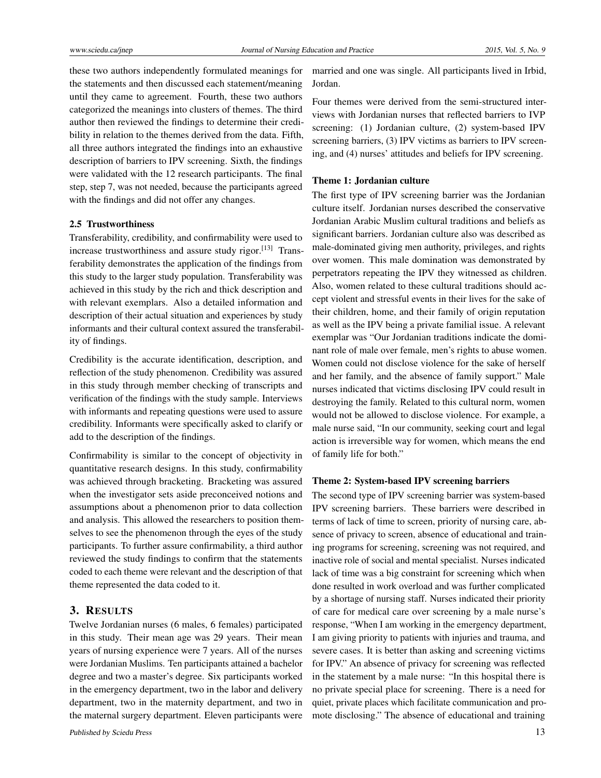these two authors independently formulated meanings for the statements and then discussed each statement/meaning until they came to agreement. Fourth, these two authors categorized the meanings into clusters of themes. The third author then reviewed the findings to determine their credibility in relation to the themes derived from the data. Fifth, all three authors integrated the findings into an exhaustive description of barriers to IPV screening. Sixth, the findings were validated with the 12 research participants. The final step, step 7, was not needed, because the participants agreed with the findings and did not offer any changes.

## 2.5 Trustworthiness

Transferability, credibility, and confirmability were used to increase trustworthiness and assure study rigor.[\[13\]](#page-5-12) Transferability demonstrates the application of the findings from this study to the larger study population. Transferability was achieved in this study by the rich and thick description and with relevant exemplars. Also a detailed information and description of their actual situation and experiences by study informants and their cultural context assured the transferability of findings.

Credibility is the accurate identification, description, and reflection of the study phenomenon. Credibility was assured in this study through member checking of transcripts and verification of the findings with the study sample. Interviews with informants and repeating questions were used to assure credibility. Informants were specifically asked to clarify or add to the description of the findings.

Confirmability is similar to the concept of objectivity in quantitative research designs. In this study, confirmability was achieved through bracketing. Bracketing was assured when the investigator sets aside preconceived notions and assumptions about a phenomenon prior to data collection and analysis. This allowed the researchers to position themselves to see the phenomenon through the eyes of the study participants. To further assure confirmability, a third author reviewed the study findings to confirm that the statements coded to each theme were relevant and the description of that theme represented the data coded to it.

# 3. RESULTS

Twelve Jordanian nurses (6 males, 6 females) participated in this study. Their mean age was 29 years. Their mean years of nursing experience were 7 years. All of the nurses were Jordanian Muslims. Ten participants attained a bachelor degree and two a master's degree. Six participants worked in the emergency department, two in the labor and delivery department, two in the maternity department, and two in the maternal surgery department. Eleven participants were married and one was single. All participants lived in Irbid, Jordan.

Four themes were derived from the semi-structured interviews with Jordanian nurses that reflected barriers to IVP screening: (1) Jordanian culture, (2) system-based IPV screening barriers, (3) IPV victims as barriers to IPV screening, and (4) nurses' attitudes and beliefs for IPV screening.

#### Theme 1: Jordanian culture

The first type of IPV screening barrier was the Jordanian culture itself. Jordanian nurses described the conservative Jordanian Arabic Muslim cultural traditions and beliefs as significant barriers. Jordanian culture also was described as male-dominated giving men authority, privileges, and rights over women. This male domination was demonstrated by perpetrators repeating the IPV they witnessed as children. Also, women related to these cultural traditions should accept violent and stressful events in their lives for the sake of their children, home, and their family of origin reputation as well as the IPV being a private familial issue. A relevant exemplar was "Our Jordanian traditions indicate the dominant role of male over female, men's rights to abuse women. Women could not disclose violence for the sake of herself and her family, and the absence of family support." Male nurses indicated that victims disclosing IPV could result in destroying the family. Related to this cultural norm, women would not be allowed to disclose violence. For example, a male nurse said, "In our community, seeking court and legal action is irreversible way for women, which means the end of family life for both."

## Theme 2: System-based IPV screening barriers

The second type of IPV screening barrier was system-based IPV screening barriers. These barriers were described in terms of lack of time to screen, priority of nursing care, absence of privacy to screen, absence of educational and training programs for screening, screening was not required, and inactive role of social and mental specialist. Nurses indicated lack of time was a big constraint for screening which when done resulted in work overload and was further complicated by a shortage of nursing staff. Nurses indicated their priority of care for medical care over screening by a male nurse's response, "When I am working in the emergency department, I am giving priority to patients with injuries and trauma, and severe cases. It is better than asking and screening victims for IPV." An absence of privacy for screening was reflected in the statement by a male nurse: "In this hospital there is no private special place for screening. There is a need for quiet, private places which facilitate communication and promote disclosing." The absence of educational and training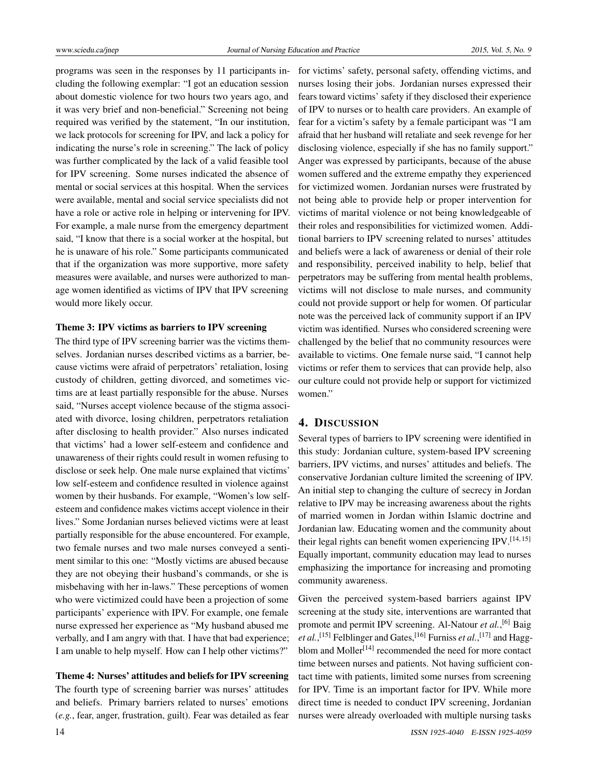programs was seen in the responses by 11 participants including the following exemplar: "I got an education session about domestic violence for two hours two years ago, and it was very brief and non-beneficial." Screening not being required was verified by the statement, "In our institution, we lack protocols for screening for IPV, and lack a policy for indicating the nurse's role in screening." The lack of policy was further complicated by the lack of a valid feasible tool for IPV screening. Some nurses indicated the absence of mental or social services at this hospital. When the services were available, mental and social service specialists did not have a role or active role in helping or intervening for IPV. For example, a male nurse from the emergency department said, "I know that there is a social worker at the hospital, but he is unaware of his role." Some participants communicated that if the organization was more supportive, more safety measures were available, and nurses were authorized to manage women identified as victims of IPV that IPV screening would more likely occur.

# Theme 3: IPV victims as barriers to IPV screening

The third type of IPV screening barrier was the victims themselves. Jordanian nurses described victims as a barrier, because victims were afraid of perpetrators' retaliation, losing custody of children, getting divorced, and sometimes victims are at least partially responsible for the abuse. Nurses said, "Nurses accept violence because of the stigma associated with divorce, losing children, perpetrators retaliation after disclosing to health provider." Also nurses indicated that victims' had a lower self-esteem and confidence and unawareness of their rights could result in women refusing to disclose or seek help. One male nurse explained that victims' low self-esteem and confidence resulted in violence against women by their husbands. For example, "Women's low selfesteem and confidence makes victims accept violence in their lives." Some Jordanian nurses believed victims were at least partially responsible for the abuse encountered. For example, two female nurses and two male nurses conveyed a sentiment similar to this one: "Mostly victims are abused because they are not obeying their husband's commands, or she is misbehaving with her in-laws." These perceptions of women who were victimized could have been a projection of some participants' experience with IPV. For example, one female nurse expressed her experience as "My husband abused me verbally, and I am angry with that. I have that bad experience; I am unable to help myself. How can I help other victims?"

## Theme 4: Nurses' attitudes and beliefs for IPV screening

The fourth type of screening barrier was nurses' attitudes and beliefs. Primary barriers related to nurses' emotions (*e.g.*, fear, anger, frustration, guilt). Fear was detailed as fear for victims' safety, personal safety, offending victims, and nurses losing their jobs. Jordanian nurses expressed their fears toward victims' safety if they disclosed their experience of IPV to nurses or to health care providers. An example of fear for a victim's safety by a female participant was "I am afraid that her husband will retaliate and seek revenge for her disclosing violence, especially if she has no family support." Anger was expressed by participants, because of the abuse women suffered and the extreme empathy they experienced for victimized women. Jordanian nurses were frustrated by not being able to provide help or proper intervention for victims of marital violence or not being knowledgeable of their roles and responsibilities for victimized women. Additional barriers to IPV screening related to nurses' attitudes and beliefs were a lack of awareness or denial of their role and responsibility, perceived inability to help, belief that perpetrators may be suffering from mental health problems, victims will not disclose to male nurses, and community could not provide support or help for women. Of particular note was the perceived lack of community support if an IPV victim was identified. Nurses who considered screening were challenged by the belief that no community resources were available to victims. One female nurse said, "I cannot help victims or refer them to services that can provide help, also our culture could not provide help or support for victimized women."

## 4. DISCUSSION

Several types of barriers to IPV screening were identified in this study: Jordanian culture, system-based IPV screening barriers, IPV victims, and nurses' attitudes and beliefs. The conservative Jordanian culture limited the screening of IPV. An initial step to changing the culture of secrecy in Jordan relative to IPV may be increasing awareness about the rights of married women in Jordan within Islamic doctrine and Jordanian law. Educating women and the community about their legal rights can benefit women experiencing IPV.[\[14,](#page-5-13) [15\]](#page-5-14) Equally important, community education may lead to nurses emphasizing the importance for increasing and promoting community awareness.

Given the perceived system-based barriers against IPV screening at the study site, interventions are warranted that promote and permit IPV screening. Al-Natour *et al.*, [\[6\]](#page-5-5) Baig et al.,<sup>[\[15\]](#page-5-14)</sup> Felblinger and Gates,<sup>[\[16\]](#page-5-15)</sup> Furniss et al.,<sup>[\[17\]](#page-5-16)</sup> and Hagg-blom and Moller<sup>[\[14\]](#page-5-13)</sup> recommended the need for more contact time between nurses and patients. Not having sufficient contact time with patients, limited some nurses from screening for IPV. Time is an important factor for IPV. While more direct time is needed to conduct IPV screening, Jordanian nurses were already overloaded with multiple nursing tasks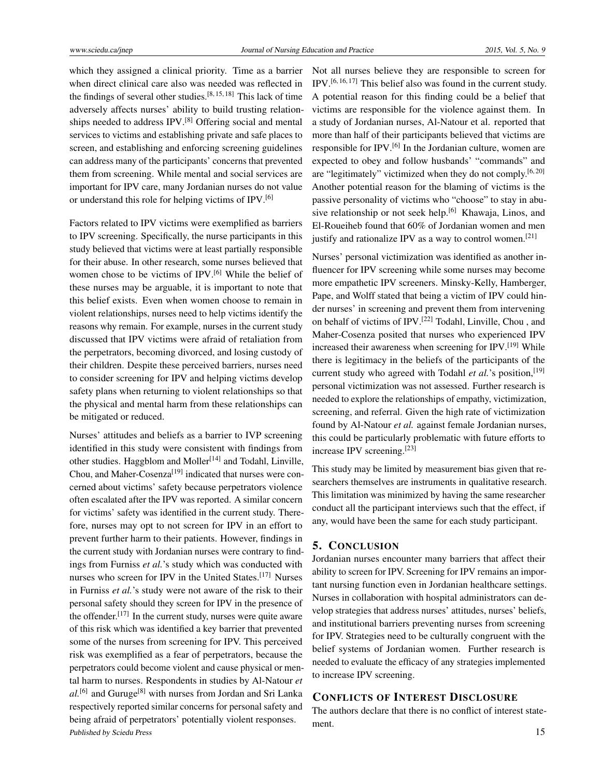which they assigned a clinical priority. Time as a barrier when direct clinical care also was needed was reflected in the findings of several other studies.[\[8,](#page-5-7) [15,](#page-5-14) [18\]](#page-5-17) This lack of time adversely affects nurses' ability to build trusting relation-ships needed to address IPV.<sup>[\[8\]](#page-5-7)</sup> Offering social and mental services to victims and establishing private and safe places to screen, and establishing and enforcing screening guidelines can address many of the participants' concerns that prevented them from screening. While mental and social services are important for IPV care, many Jordanian nurses do not value or understand this role for helping victims of IPV.[\[6\]](#page-5-5)

Factors related to IPV victims were exemplified as barriers to IPV screening. Specifically, the nurse participants in this study believed that victims were at least partially responsible for their abuse. In other research, some nurses believed that women chose to be victims of IPV.<sup>[\[6\]](#page-5-5)</sup> While the belief of these nurses may be arguable, it is important to note that this belief exists. Even when women choose to remain in violent relationships, nurses need to help victims identify the reasons why remain. For example, nurses in the current study discussed that IPV victims were afraid of retaliation from the perpetrators, becoming divorced, and losing custody of their children. Despite these perceived barriers, nurses need to consider screening for IPV and helping victims develop safety plans when returning to violent relationships so that the physical and mental harm from these relationships can be mitigated or reduced.

Nurses' attitudes and beliefs as a barrier to IVP screening identified in this study were consistent with findings from other studies. Haggblom and Moller<sup>[\[14\]](#page-5-13)</sup> and Todahl, Linville, Chou, and Maher-Cosenza<sup>[\[19\]](#page-5-18)</sup> indicated that nurses were concerned about victims' safety because perpetrators violence often escalated after the IPV was reported. A similar concern for victims' safety was identified in the current study. Therefore, nurses may opt to not screen for IPV in an effort to prevent further harm to their patients. However, findings in the current study with Jordanian nurses were contrary to findings from Furniss *et al.*'s study which was conducted with nurses who screen for IPV in the United States.<sup>[\[17\]](#page-5-16)</sup> Nurses in Furniss *et al.*'s study were not aware of the risk to their personal safety should they screen for IPV in the presence of the offender.<sup>[\[17\]](#page-5-16)</sup> In the current study, nurses were quite aware of this risk which was identified a key barrier that prevented some of the nurses from screening for IPV. This perceived risk was exemplified as a fear of perpetrators, because the perpetrators could become violent and cause physical or mental harm to nurses. Respondents in studies by Al-Natour *et al.*[\[6\]](#page-5-5) and Guruge[\[8\]](#page-5-7) with nurses from Jordan and Sri Lanka respectively reported similar concerns for personal safety and being afraid of perpetrators' potentially violent responses. Published by Sciedu Press 25 and 2012 15 and 2012 15 and 2012 16:30 and 2012 15:30 and 2013 15:30 and 2013 15:30 and 2013 15:30 and 2013 16:30 and 2013 16:30 and 2013 16:30 and 2013 16:30 and 2013 16:30 and 2013 16:30 and

Not all nurses believe they are responsible to screen for IPV.[\[6,](#page-5-5) [16,](#page-5-15) [17\]](#page-5-16) This belief also was found in the current study. A potential reason for this finding could be a belief that victims are responsible for the violence against them. In a study of Jordanian nurses, Al-Natour et al. reported that more than half of their participants believed that victims are responsible for IPV.<sup>[\[6\]](#page-5-5)</sup> In the Jordanian culture, women are expected to obey and follow husbands' "commands" and are "legitimately" victimized when they do not comply.<sup>[\[6,](#page-5-5) [20\]](#page-5-19)</sup> Another potential reason for the blaming of victims is the passive personality of victims who "choose" to stay in abu-sive relationship or not seek help.<sup>[\[6\]](#page-5-5)</sup> Khawaja, Linos, and El-Roueiheb found that 60% of Jordanian women and men justify and rationalize IPV as a way to control women.<sup>[\[21\]](#page-5-20)</sup>

Nurses' personal victimization was identified as another influencer for IPV screening while some nurses may become more empathetic IPV screeners. Minsky-Kelly, Hamberger, Pape, and Wolff stated that being a victim of IPV could hinder nurses' in screening and prevent them from intervening on behalf of victims of IPV.[\[22\]](#page-5-21) Todahl, Linville, Chou , and Maher-Cosenza posited that nurses who experienced IPV increased their awareness when screening for IPV.<sup>[\[19\]](#page-5-18)</sup> While there is legitimacy in the beliefs of the participants of the current study who agreed with Todahl *et al.*'s position,<sup>[\[19\]](#page-5-18)</sup> personal victimization was not assessed. Further research is needed to explore the relationships of empathy, victimization, screening, and referral. Given the high rate of victimization found by Al-Natour *et al.* against female Jordanian nurses, this could be particularly problematic with future efforts to increase IPV screening.[\[23\]](#page-5-22)

This study may be limited by measurement bias given that researchers themselves are instruments in qualitative research. This limitation was minimized by having the same researcher conduct all the participant interviews such that the effect, if any, would have been the same for each study participant.

## 5. CONCLUSION

Jordanian nurses encounter many barriers that affect their ability to screen for IPV. Screening for IPV remains an important nursing function even in Jordanian healthcare settings. Nurses in collaboration with hospital administrators can develop strategies that address nurses' attitudes, nurses' beliefs, and institutional barriers preventing nurses from screening for IPV. Strategies need to be culturally congruent with the belief systems of Jordanian women. Further research is needed to evaluate the efficacy of any strategies implemented to increase IPV screening.

## CONFLICTS OF INTEREST DISCLOSURE

The authors declare that there is no conflict of interest statement.